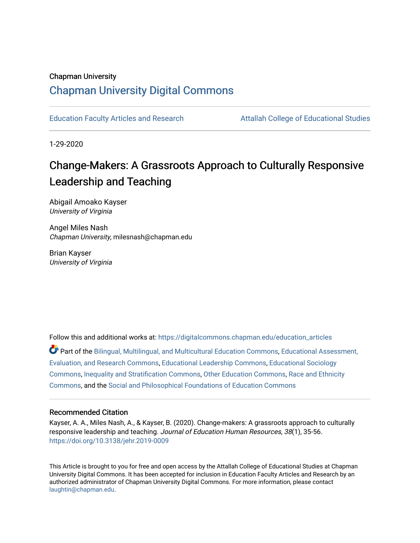#### Chapman University

# [Chapman University Digital Commons](https://digitalcommons.chapman.edu/)

[Education Faculty Articles and Research](https://digitalcommons.chapman.edu/education_articles) [Attallah College of Educational Studies](https://digitalcommons.chapman.edu/ces) 

1-29-2020

# Change-Makers: A Grassroots Approach to Culturally Responsive Leadership and Teaching

Abigail Amoako Kayser University of Virginia

Angel Miles Nash Chapman University, milesnash@chapman.edu

Brian Kayser University of Virginia

Follow this and additional works at: [https://digitalcommons.chapman.edu/education\\_articles](https://digitalcommons.chapman.edu/education_articles?utm_source=digitalcommons.chapman.edu%2Feducation_articles%2F312&utm_medium=PDF&utm_campaign=PDFCoverPages)

Part of the [Bilingual, Multilingual, and Multicultural Education Commons,](http://network.bepress.com/hgg/discipline/785?utm_source=digitalcommons.chapman.edu%2Feducation_articles%2F312&utm_medium=PDF&utm_campaign=PDFCoverPages) [Educational Assessment,](http://network.bepress.com/hgg/discipline/796?utm_source=digitalcommons.chapman.edu%2Feducation_articles%2F312&utm_medium=PDF&utm_campaign=PDFCoverPages)  [Evaluation, and Research Commons,](http://network.bepress.com/hgg/discipline/796?utm_source=digitalcommons.chapman.edu%2Feducation_articles%2F312&utm_medium=PDF&utm_campaign=PDFCoverPages) [Educational Leadership Commons](http://network.bepress.com/hgg/discipline/1230?utm_source=digitalcommons.chapman.edu%2Feducation_articles%2F312&utm_medium=PDF&utm_campaign=PDFCoverPages), [Educational Sociology](http://network.bepress.com/hgg/discipline/1071?utm_source=digitalcommons.chapman.edu%2Feducation_articles%2F312&utm_medium=PDF&utm_campaign=PDFCoverPages)  [Commons](http://network.bepress.com/hgg/discipline/1071?utm_source=digitalcommons.chapman.edu%2Feducation_articles%2F312&utm_medium=PDF&utm_campaign=PDFCoverPages), [Inequality and Stratification Commons](http://network.bepress.com/hgg/discipline/421?utm_source=digitalcommons.chapman.edu%2Feducation_articles%2F312&utm_medium=PDF&utm_campaign=PDFCoverPages), [Other Education Commons,](http://network.bepress.com/hgg/discipline/811?utm_source=digitalcommons.chapman.edu%2Feducation_articles%2F312&utm_medium=PDF&utm_campaign=PDFCoverPages) [Race and Ethnicity](http://network.bepress.com/hgg/discipline/426?utm_source=digitalcommons.chapman.edu%2Feducation_articles%2F312&utm_medium=PDF&utm_campaign=PDFCoverPages)  [Commons](http://network.bepress.com/hgg/discipline/426?utm_source=digitalcommons.chapman.edu%2Feducation_articles%2F312&utm_medium=PDF&utm_campaign=PDFCoverPages), and the [Social and Philosophical Foundations of Education Commons](http://network.bepress.com/hgg/discipline/799?utm_source=digitalcommons.chapman.edu%2Feducation_articles%2F312&utm_medium=PDF&utm_campaign=PDFCoverPages) 

#### Recommended Citation

Kayser, A. A., Miles Nash, A., & Kayser, B. (2020). Change-makers: A grassroots approach to culturally responsive leadership and teaching. Journal of Education Human Resources, 38(1), 35-56. <https://doi.org/10.3138/jehr.2019-0009>

This Article is brought to you for free and open access by the Attallah College of Educational Studies at Chapman University Digital Commons. It has been accepted for inclusion in Education Faculty Articles and Research by an authorized administrator of Chapman University Digital Commons. For more information, please contact [laughtin@chapman.edu.](mailto:laughtin@chapman.edu)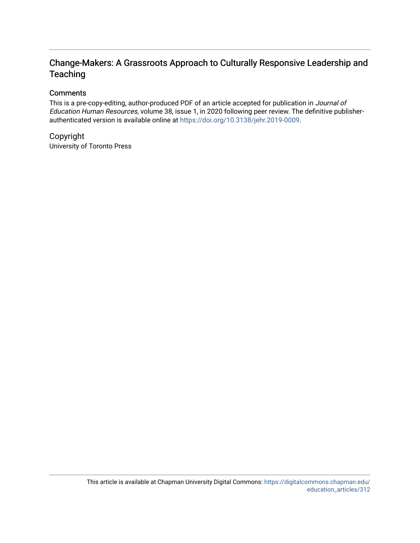# Change-Makers: A Grassroots Approach to Culturally Responsive Leadership and **Teaching**

## **Comments**

This is a pre-copy-editing, author-produced PDF of an article accepted for publication in Journal of Education Human Resources, volume 38, issue 1, in 2020 following peer review. The definitive publisherauthenticated version is available online at [https://doi.org/10.3138/jehr.2019-0009.](https://doi.org/10.3138/jehr.2019-0009)

# Copyright

University of Toronto Press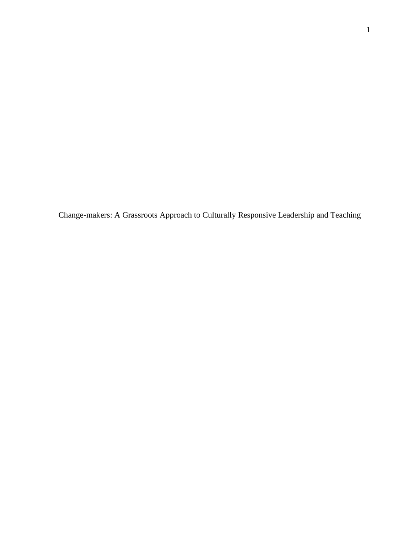Change-makers: A Grassroots Approach to Culturally Responsive Leadership and Teaching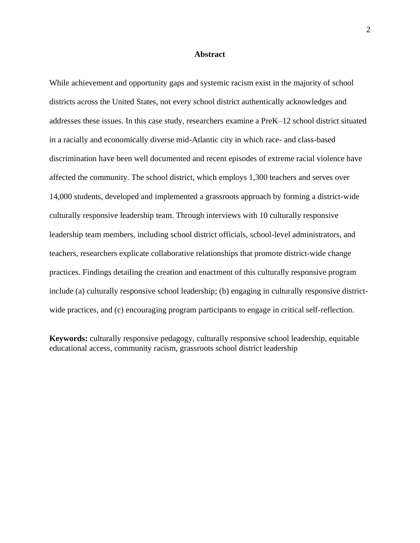#### **Abstract**

While achievement and opportunity gaps and systemic racism exist in the majority of school districts across the United States, not every school district authentically acknowledges and addresses these issues. In this case study, researchers examine a PreK–12 school district situated in a racially and economically diverse mid-Atlantic city in which race- and class-based discrimination have been well documented and recent episodes of extreme racial violence have affected the community. The school district, which employs 1,300 teachers and serves over 14,000 students, developed and implemented a grassroots approach by forming a district-wide culturally responsive leadership team. Through interviews with 10 culturally responsive leadership team members, including school district officials, school-level administrators, and teachers, researchers explicate collaborative relationships that promote district-wide change practices. Findings detailing the creation and enactment of this culturally responsive program include (a) culturally responsive school leadership; (b) engaging in culturally responsive districtwide practices, and (c) encouraging program participants to engage in critical self-reflection.

**Keywords:** culturally responsive pedagogy, culturally responsive school leadership, equitable educational access, community racism, grassroots school district leadership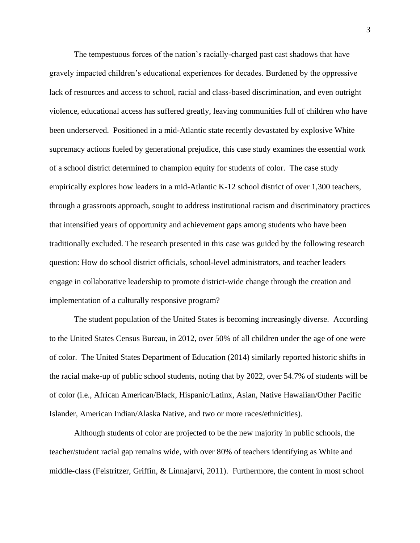The tempestuous forces of the nation's racially-charged past cast shadows that have gravely impacted children's educational experiences for decades. Burdened by the oppressive lack of resources and access to school, racial and class-based discrimination, and even outright violence, educational access has suffered greatly, leaving communities full of children who have been underserved. Positioned in a mid-Atlantic state recently devastated by explosive White supremacy actions fueled by generational prejudice, this case study examines the essential work of a school district determined to champion equity for students of color. The case study empirically explores how leaders in a mid-Atlantic K-12 school district of over 1,300 teachers, through a grassroots approach, sought to address institutional racism and discriminatory practices that intensified years of opportunity and achievement gaps among students who have been traditionally excluded. The research presented in this case was guided by the following research question: How do school district officials, school-level administrators, and teacher leaders engage in collaborative leadership to promote district-wide change through the creation and implementation of a culturally responsive program?

The student population of the United States is becoming increasingly diverse. According to the United States Census Bureau, in 2012, over 50% of all children under the age of one were of color. The United States Department of Education (2014) similarly reported historic shifts in the racial make-up of public school students, noting that by 2022, over 54.7% of students will be of color (i.e., African American/Black, Hispanic/Latinx, Asian, Native Hawaiian/Other Pacific Islander, American Indian/Alaska Native, and two or more races/ethnicities).

Although students of color are projected to be the new majority in public schools, the teacher/student racial gap remains wide, with over 80% of teachers identifying as White and middle-class (Feistritzer, Griffin, & Linnajarvi, 2011). Furthermore, the content in most school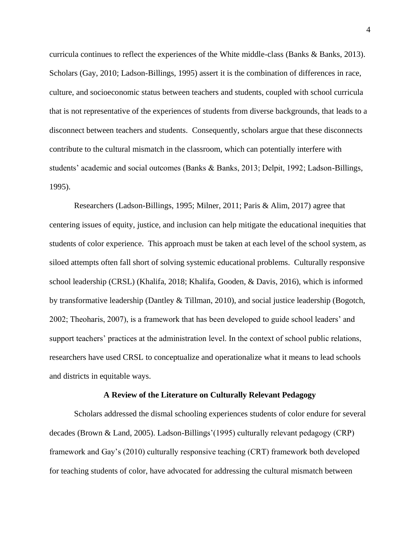curricula continues to reflect the experiences of the White middle-class (Banks & Banks, 2013). Scholars (Gay, 2010; Ladson-Billings, 1995) assert it is the combination of differences in race, culture, and socioeconomic status between teachers and students, coupled with school curricula that is not representative of the experiences of students from diverse backgrounds, that leads to a disconnect between teachers and students. Consequently, scholars argue that these disconnects contribute to the cultural mismatch in the classroom, which can potentially interfere with students' academic and social outcomes (Banks & Banks, 2013; Delpit, 1992; Ladson-Billings, 1995).

Researchers (Ladson-Billings, 1995; Milner, 2011; Paris & Alim, 2017) agree that centering issues of equity, justice, and inclusion can help mitigate the educational inequities that students of color experience. This approach must be taken at each level of the school system, as siloed attempts often fall short of solving systemic educational problems. Culturally responsive school leadership (CRSL) (Khalifa, 2018; Khalifa, Gooden, & Davis, 2016), which is informed by transformative leadership (Dantley & Tillman, 2010), and social justice leadership (Bogotch, 2002; Theoharis, 2007), is a framework that has been developed to guide school leaders' and support teachers' practices at the administration level. In the context of school public relations, researchers have used CRSL to conceptualize and operationalize what it means to lead schools and districts in equitable ways.

#### **A Review of the Literature on Culturally Relevant Pedagogy**

Scholars addressed the dismal schooling experiences students of color endure for several decades (Brown & Land, 2005). Ladson-Billings'(1995) culturally relevant pedagogy (CRP) framework and Gay's (2010) culturally responsive teaching (CRT) framework both developed for teaching students of color, have advocated for addressing the cultural mismatch between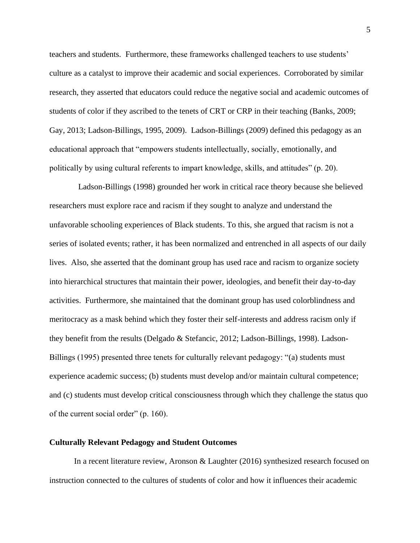teachers and students. Furthermore, these frameworks challenged teachers to use students' culture as a catalyst to improve their academic and social experiences. Corroborated by similar research, they asserted that educators could reduce the negative social and academic outcomes of students of color if they ascribed to the tenets of CRT or CRP in their teaching (Banks, 2009; Gay, 2013; Ladson-Billings, 1995, 2009). Ladson-Billings (2009) defined this pedagogy as an educational approach that "empowers students intellectually, socially, emotionally, and politically by using cultural referents to impart knowledge, skills, and attitudes" (p. 20).

Ladson-Billings (1998) grounded her work in critical race theory because she believed researchers must explore race and racism if they sought to analyze and understand the unfavorable schooling experiences of Black students. To this, she argued that racism is not a series of isolated events; rather, it has been normalized and entrenched in all aspects of our daily lives. Also, she asserted that the dominant group has used race and racism to organize society into hierarchical structures that maintain their power, ideologies, and benefit their day-to-day activities. Furthermore, she maintained that the dominant group has used colorblindness and meritocracy as a mask behind which they foster their self-interests and address racism only if they benefit from the results (Delgado & Stefancic, 2012; Ladson-Billings, 1998). Ladson-Billings (1995) presented three tenets for culturally relevant pedagogy: "(a) students must experience academic success; (b) students must develop and/or maintain cultural competence; and (c) students must develop critical consciousness through which they challenge the status quo of the current social order" (p. 160).

#### **Culturally Relevant Pedagogy and Student Outcomes**

In a recent literature review, Aronson & Laughter (2016) synthesized research focused on instruction connected to the cultures of students of color and how it influences their academic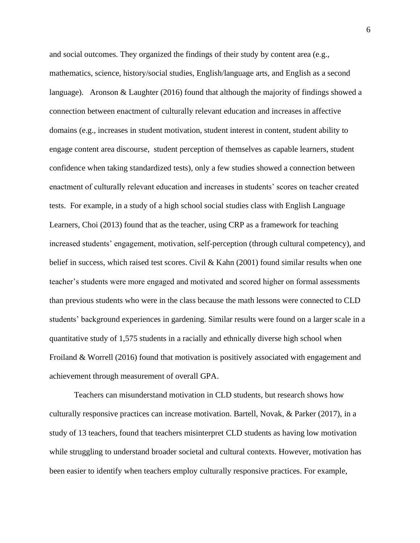and social outcomes. They organized the findings of their study by content area (e.g., mathematics, science, history/social studies, English/language arts, and English as a second language). Aronson & Laughter (2016) found that although the majority of findings showed a connection between enactment of culturally relevant education and increases in affective domains (e.g., increases in student motivation, student interest in content, student ability to engage content area discourse, student perception of themselves as capable learners, student confidence when taking standardized tests), only a few studies showed a connection between enactment of culturally relevant education and increases in students' scores on teacher created tests. For example, in a study of a high school social studies class with English Language Learners, Choi (2013) found that as the teacher, using CRP as a framework for teaching increased students' engagement, motivation, self-perception (through cultural competency), and belief in success, which raised test scores. Civil  $\&$  Kahn (2001) found similar results when one teacher's students were more engaged and motivated and scored higher on formal assessments than previous students who were in the class because the math lessons were connected to CLD students' background experiences in gardening. Similar results were found on a larger scale in a quantitative study of 1,575 students in a racially and ethnically diverse high school when Froiland & Worrell (2016) found that motivation is positively associated with engagement and achievement through measurement of overall GPA.

Teachers can misunderstand motivation in CLD students, but research shows how culturally responsive practices can increase motivation. Bartell, Novak, & Parker (2017), in a study of 13 teachers, found that teachers misinterpret CLD students as having low motivation while struggling to understand broader societal and cultural contexts. However, motivation has been easier to identify when teachers employ culturally responsive practices. For example,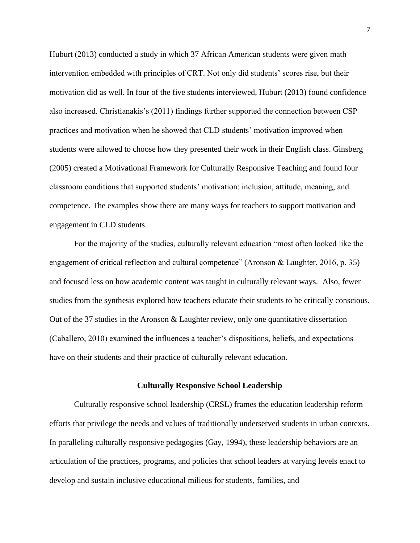Huburt (2013) conducted a study in which 37 African American students were given math intervention embedded with principles of CRT. Not only did students' scores rise, but their motivation did as well. In four of the five students interviewed, Huburt (2013) found confidence also increased. Christianakis's (2011) findings further supported the connection between CSP practices and motivation when he showed that CLD students' motivation improved when students were allowed to choose how they presented their work in their English class. Ginsberg (2005) created a Motivational Framework for Culturally Responsive Teaching and found four classroom conditions that supported students' motivation: inclusion, attitude, meaning, and competence. The examples show there are many ways for teachers to support motivation and engagement in CLD students.

For the majority of the studies, culturally relevant education "most often looked like the engagement of critical reflection and cultural competence" (Aronson & Laughter, 2016, p. 35) and focused less on how academic content was taught in culturally relevant ways. Also, fewer studies from the synthesis explored how teachers educate their students to be critically conscious. Out of the 37 studies in the Aronson & Laughter review, only one quantitative dissertation (Caballero, 2010) examined the influences a teacher's dispositions, beliefs, and expectations have on their students and their practice of culturally relevant education.

#### **Culturally Responsive School Leadership**

Culturally responsive school leadership (CRSL) frames the education leadership reform efforts that privilege the needs and values of traditionally underserved students in urban contexts. In paralleling culturally responsive pedagogies (Gay, 1994), these leadership behaviors are an articulation of the practices, programs, and policies that school leaders at varying levels enact to develop and sustain inclusive educational milieus for students, families, and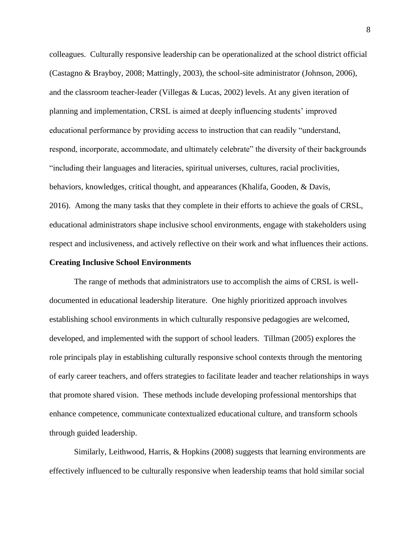colleagues. Culturally responsive leadership can be operationalized at the school district official (Castagno & Brayboy, 2008; Mattingly, 2003), the school-site administrator (Johnson, 2006), and the classroom teacher-leader (Villegas & Lucas, 2002) levels. At any given iteration of planning and implementation, CRSL is aimed at deeply influencing students' improved educational performance by providing access to instruction that can readily "understand, respond, incorporate, accommodate, and ultimately celebrate" the diversity of their backgrounds "including their languages and literacies, spiritual universes, cultures, racial proclivities, behaviors, knowledges, critical thought, and appearances (Khalifa, Gooden, & Davis, 2016). Among the many tasks that they complete in their efforts to achieve the goals of CRSL, educational administrators shape inclusive school environments, engage with stakeholders using respect and inclusiveness, and actively reflective on their work and what influences their actions.

#### **Creating Inclusive School Environments**

The range of methods that administrators use to accomplish the aims of CRSL is welldocumented in educational leadership literature. One highly prioritized approach involves establishing school environments in which culturally responsive pedagogies are welcomed, developed, and implemented with the support of school leaders. Tillman (2005) explores the role principals play in establishing culturally responsive school contexts through the mentoring of early career teachers, and offers strategies to facilitate leader and teacher relationships in ways that promote shared vision. These methods include developing professional mentorships that enhance competence, communicate contextualized educational culture, and transform schools through guided leadership.

Similarly, Leithwood, Harris, & Hopkins (2008) suggests that learning environments are effectively influenced to be culturally responsive when leadership teams that hold similar social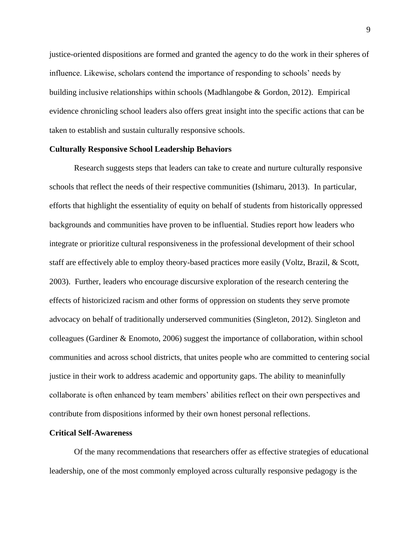justice-oriented dispositions are formed and granted the agency to do the work in their spheres of influence. Likewise, scholars contend the importance of responding to schools' needs by building inclusive relationships within schools (Madhlangobe & Gordon, 2012). Empirical evidence chronicling school leaders also offers great insight into the specific actions that can be taken to establish and sustain culturally responsive schools.

#### **Culturally Responsive School Leadership Behaviors**

Research suggests steps that leaders can take to create and nurture culturally responsive schools that reflect the needs of their respective communities (Ishimaru, 2013). In particular, efforts that highlight the essentiality of equity on behalf of students from historically oppressed backgrounds and communities have proven to be influential. Studies report how leaders who integrate or prioritize cultural responsiveness in the professional development of their school staff are effectively able to employ theory-based practices more easily (Voltz, Brazil, & Scott, 2003). Further, leaders who encourage discursive exploration of the research centering the effects of historicized racism and other forms of oppression on students they serve promote advocacy on behalf of traditionally underserved communities (Singleton, 2012). Singleton and colleagues (Gardiner & Enomoto, 2006) suggest the importance of collaboration, within school communities and across school districts, that unites people who are committed to centering social justice in their work to address academic and opportunity gaps. The ability to meaninfully collaborate is often enhanced by team members' abilities reflect on their own perspectives and contribute from dispositions informed by their own honest personal reflections.

#### **Critical Self-Awareness**

 Of the many recommendations that researchers offer as effective strategies of educational leadership, one of the most commonly employed across culturally responsive pedagogy is the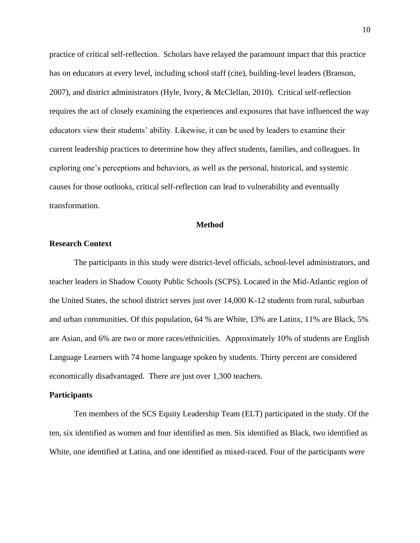practice of critical self-reflection. Scholars have relayed the paramount impact that this practice has on educators at every level, including school staff (cite), building-level leaders (Branson, 2007), and district administrators (Hyle, Ivory, & McClellan, 2010). Critical self-reflection requires the act of closely examining the experiences and exposures that have influenced the way educators view their students' ability. Likewise, it can be used by leaders to examine their current leadership practices to determine how they affect students, families, and colleagues. In exploring one's perceptions and behaviors, as well as the personal, historical, and systemic causes for those outlooks, critical self-reflection can lead to vulnerability and eventually transformation.

#### **Method**

#### **Research Context**

The participants in this study were district-level officials, school-level administrators, and teacher leaders in Shadow County Public Schools (SCPS). Located in the Mid-Atlantic region of the United States, the school district serves just over 14,000 K-12 students from rural, suburban and urban communities. Of this population, 64 % are White, 13% are Latinx, 11% are Black, 5% are Asian, and 6% are two or more races/ethnicities. Approximately 10% of students are English Language Learners with 74 home language spoken by students. Thirty percent are considered economically disadvantaged. There are just over 1,300 teachers.

#### **Participants**

Ten members of the SCS Equity Leadership Team (ELT) participated in the study. Of the ten, six identified as women and four identified as men. Six identified as Black, two identified as White, one identified at Latina, and one identified as mixed-raced. Four of the participants were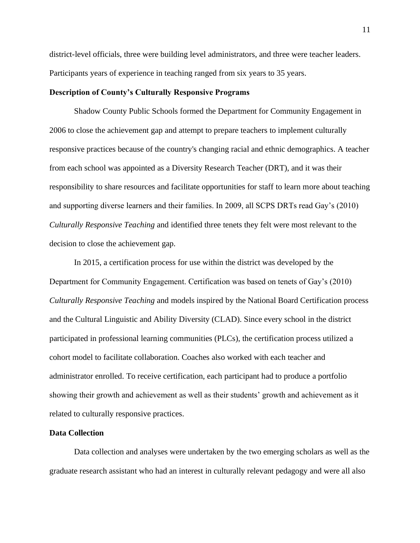district-level officials, three were building level administrators, and three were teacher leaders. Participants years of experience in teaching ranged from six years to 35 years.

#### **Description of County's Culturally Responsive Programs**

Shadow County Public Schools formed the Department for Community Engagement in 2006 to close the achievement gap and attempt to prepare teachers to implement culturally responsive practices because of the country's changing racial and ethnic demographics. A teacher from each school was appointed as a Diversity Research Teacher (DRT), and it was their responsibility to share resources and facilitate opportunities for staff to learn more about teaching and supporting diverse learners and their families. In 2009, all SCPS DRTs read Gay's (2010) *Culturally Responsive Teaching* and identified three tenets they felt were most relevant to the decision to close the achievement gap.

In 2015, a certification process for use within the district was developed by the Department for Community Engagement. Certification was based on tenets of Gay's (2010) *Culturally Responsive Teaching* and models inspired by the National Board Certification process and the Cultural Linguistic and Ability Diversity (CLAD). Since every school in the district participated in professional learning communities (PLCs), the certification process utilized a cohort model to facilitate collaboration. Coaches also worked with each teacher and administrator enrolled. To receive certification, each participant had to produce a portfolio showing their growth and achievement as well as their students' growth and achievement as it related to culturally responsive practices.

#### **Data Collection**

Data collection and analyses were undertaken by the two emerging scholars as well as the graduate research assistant who had an interest in culturally relevant pedagogy and were all also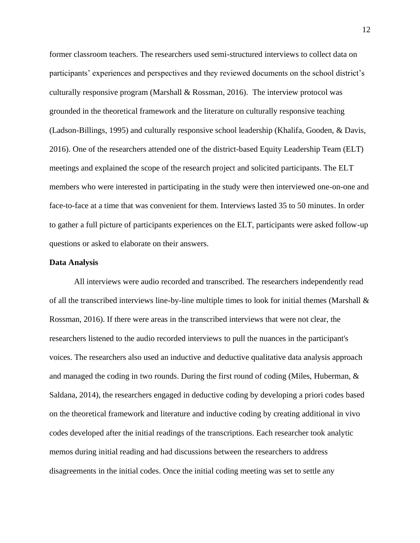former classroom teachers. The researchers used semi-structured interviews to collect data on participants' experiences and perspectives and they reviewed documents on the school district's culturally responsive program (Marshall  $\&$  Rossman, 2016). The interview protocol was grounded in the theoretical framework and the literature on culturally responsive teaching (Ladson-Billings, 1995) and culturally responsive school leadership (Khalifa, Gooden, & Davis, 2016). One of the researchers attended one of the district-based Equity Leadership Team (ELT) meetings and explained the scope of the research project and solicited participants. The ELT members who were interested in participating in the study were then interviewed one-on-one and face-to-face at a time that was convenient for them. Interviews lasted 35 to 50 minutes. In order to gather a full picture of participants experiences on the ELT, participants were asked follow-up questions or asked to elaborate on their answers.

#### **Data Analysis**

All interviews were audio recorded and transcribed. The researchers independently read of all the transcribed interviews line-by-line multiple times to look for initial themes (Marshall & Rossman, 2016). If there were areas in the transcribed interviews that were not clear, the researchers listened to the audio recorded interviews to pull the nuances in the participant's voices. The researchers also used an inductive and deductive qualitative data analysis approach and managed the coding in two rounds. During the first round of coding (Miles, Huberman, & Saldana, 2014), the researchers engaged in deductive coding by developing a priori codes based on the theoretical framework and literature and inductive coding by creating additional in vivo codes developed after the initial readings of the transcriptions. Each researcher took analytic memos during initial reading and had discussions between the researchers to address disagreements in the initial codes. Once the initial coding meeting was set to settle any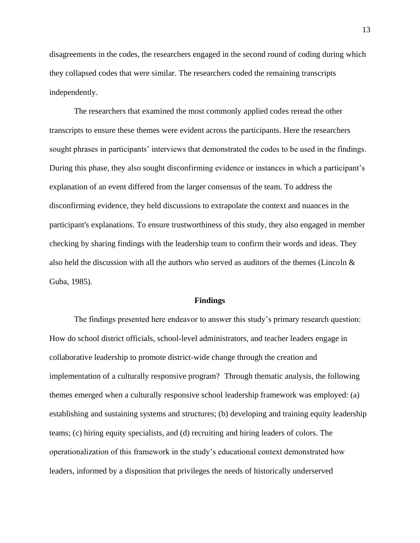disagreements in the codes, the researchers engaged in the second round of coding during which they collapsed codes that were similar. The researchers coded the remaining transcripts independently.

The researchers that examined the most commonly applied codes reread the other transcripts to ensure these themes were evident across the participants. Here the researchers sought phrases in participants' interviews that demonstrated the codes to be used in the findings. During this phase, they also sought disconfirming evidence or instances in which a participant's explanation of an event differed from the larger consensus of the team. To address the disconfirming evidence, they held discussions to extrapolate the context and nuances in the participant's explanations. To ensure trustworthiness of this study, they also engaged in member checking by sharing findings with the leadership team to confirm their words and ideas. They also held the discussion with all the authors who served as auditors of the themes (Lincoln  $\&$ Guba, 1985).

#### **Findings**

The findings presented here endeavor to answer this study's primary research question: How do school district officials, school-level administrators, and teacher leaders engage in collaborative leadership to promote district-wide change through the creation and implementation of a culturally responsive program? Through thematic analysis, the following themes emerged when a culturally responsive school leadership framework was employed: (a) establishing and sustaining systems and structures; (b) developing and training equity leadership teams; (c) hiring equity specialists, and (d) recruiting and hiring leaders of colors. The operationalization of this framework in the study's educational context demonstrated how leaders, informed by a disposition that privileges the needs of historically underserved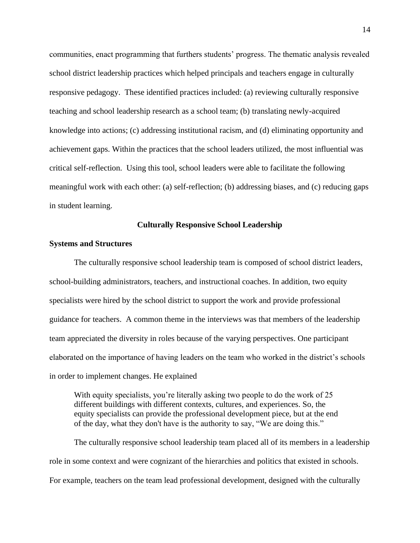communities, enact programming that furthers students' progress. The thematic analysis revealed school district leadership practices which helped principals and teachers engage in culturally responsive pedagogy. These identified practices included: (a) reviewing culturally responsive teaching and school leadership research as a school team; (b) translating newly-acquired knowledge into actions; (c) addressing institutional racism, and (d) eliminating opportunity and achievement gaps. Within the practices that the school leaders utilized, the most influential was critical self-reflection. Using this tool, school leaders were able to facilitate the following meaningful work with each other: (a) self-reflection; (b) addressing biases, and (c) reducing gaps in student learning.

#### **Culturally Responsive School Leadership**

#### **Systems and Structures**

The culturally responsive school leadership team is composed of school district leaders, school-building administrators, teachers, and instructional coaches. In addition, two equity specialists were hired by the school district to support the work and provide professional guidance for teachers. A common theme in the interviews was that members of the leadership team appreciated the diversity in roles because of the varying perspectives. One participant elaborated on the importance of having leaders on the team who worked in the district's schools in order to implement changes. He explained

With equity specialists, you're literally asking two people to do the work of 25 different buildings with different contexts, cultures, and experiences. So, the equity specialists can provide the professional development piece, but at the end of the day, what they don't have is the authority to say, "We are doing this."

The culturally responsive school leadership team placed all of its members in a leadership role in some context and were cognizant of the hierarchies and politics that existed in schools. For example, teachers on the team lead professional development, designed with the culturally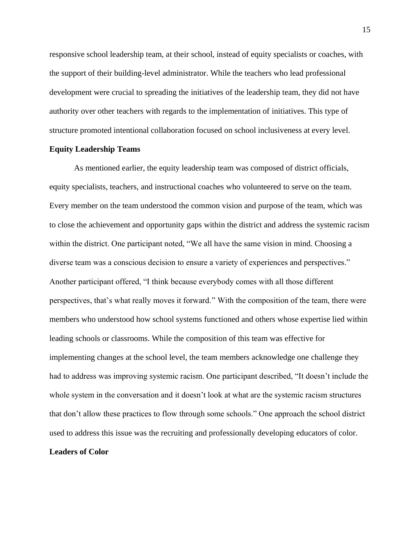responsive school leadership team, at their school, instead of equity specialists or coaches, with the support of their building-level administrator. While the teachers who lead professional development were crucial to spreading the initiatives of the leadership team, they did not have authority over other teachers with regards to the implementation of initiatives. This type of structure promoted intentional collaboration focused on school inclusiveness at every level.

#### **Equity Leadership Teams**

As mentioned earlier, the equity leadership team was composed of district officials, equity specialists, teachers, and instructional coaches who volunteered to serve on the team. Every member on the team understood the common vision and purpose of the team, which was to close the achievement and opportunity gaps within the district and address the systemic racism within the district. One participant noted, "We all have the same vision in mind. Choosing a diverse team was a conscious decision to ensure a variety of experiences and perspectives." Another participant offered, "I think because everybody comes with all those different perspectives, that's what really moves it forward." With the composition of the team, there were members who understood how school systems functioned and others whose expertise lied within leading schools or classrooms. While the composition of this team was effective for implementing changes at the school level, the team members acknowledge one challenge they had to address was improving systemic racism. One participant described, "It doesn't include the whole system in the conversation and it doesn't look at what are the systemic racism structures that don't allow these practices to flow through some schools." One approach the school district used to address this issue was the recruiting and professionally developing educators of color. **Leaders of Color**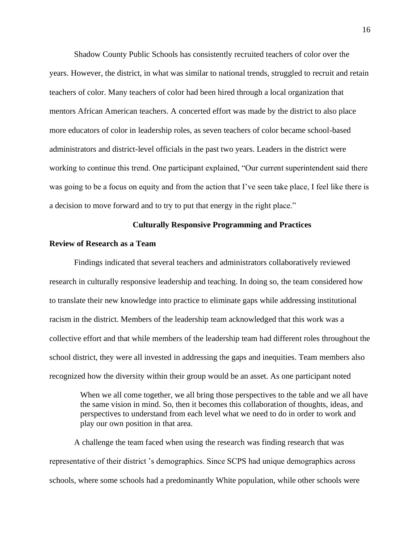Shadow County Public Schools has consistently recruited teachers of color over the years. However, the district, in what was similar to national trends, struggled to recruit and retain teachers of color. Many teachers of color had been hired through a local organization that mentors African American teachers. A concerted effort was made by the district to also place more educators of color in leadership roles, as seven teachers of color became school-based administrators and district-level officials in the past two years. Leaders in the district were working to continue this trend. One participant explained, "Our current superintendent said there was going to be a focus on equity and from the action that I've seen take place, I feel like there is a decision to move forward and to try to put that energy in the right place."

#### **Culturally Responsive Programming and Practices**

#### **Review of Research as a Team**

Findings indicated that several teachers and administrators collaboratively reviewed research in culturally responsive leadership and teaching. In doing so, the team considered how to translate their new knowledge into practice to eliminate gaps while addressing institutional racism in the district. Members of the leadership team acknowledged that this work was a collective effort and that while members of the leadership team had different roles throughout the school district, they were all invested in addressing the gaps and inequities. Team members also recognized how the diversity within their group would be an asset. As one participant noted

When we all come together, we all bring those perspectives to the table and we all have the same vision in mind. So, then it becomes this collaboration of thoughts, ideas, and perspectives to understand from each level what we need to do in order to work and play our own position in that area.

A challenge the team faced when using the research was finding research that was representative of their district 's demographics. Since SCPS had unique demographics across schools, where some schools had a predominantly White population, while other schools were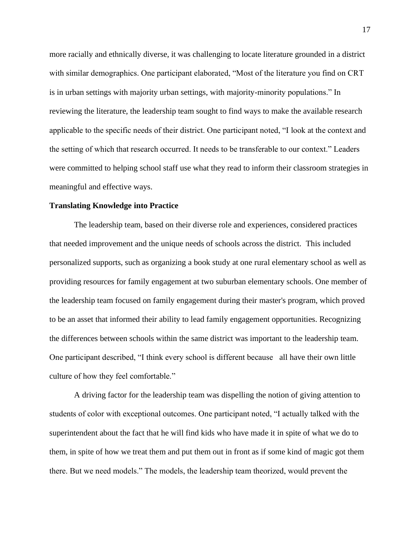more racially and ethnically diverse, it was challenging to locate literature grounded in a district with similar demographics. One participant elaborated, "Most of the literature you find on CRT is in urban settings with majority urban settings, with majority-minority populations." In reviewing the literature, the leadership team sought to find ways to make the available research applicable to the specific needs of their district. One participant noted, "I look at the context and the setting of which that research occurred. It needs to be transferable to our context." Leaders were committed to helping school staff use what they read to inform their classroom strategies in meaningful and effective ways.

#### **Translating Knowledge into Practice**

The leadership team, based on their diverse role and experiences, considered practices that needed improvement and the unique needs of schools across the district. This included personalized supports, such as organizing a book study at one rural elementary school as well as providing resources for family engagement at two suburban elementary schools. One member of the leadership team focused on family engagement during their master's program, which proved to be an asset that informed their ability to lead family engagement opportunities. Recognizing the differences between schools within the same district was important to the leadership team. One participant described, "I think every school is different because all have their own little culture of how they feel comfortable."

A driving factor for the leadership team was dispelling the notion of giving attention to students of color with exceptional outcomes. One participant noted, "I actually talked with the superintendent about the fact that he will find kids who have made it in spite of what we do to them, in spite of how we treat them and put them out in front as if some kind of magic got them there. But we need models." The models, the leadership team theorized, would prevent the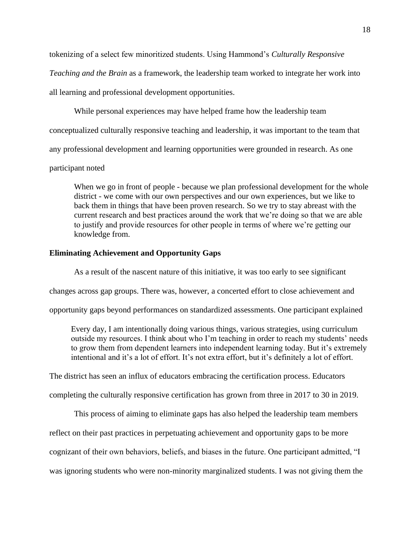tokenizing of a select few minoritized students. Using Hammond's *Culturally Responsive* 

*Teaching and the Brain* as a framework, the leadership team worked to integrate her work into

all learning and professional development opportunities.

While personal experiences may have helped frame how the leadership team

conceptualized culturally responsive teaching and leadership, it was important to the team that

any professional development and learning opportunities were grounded in research. As one

#### participant noted

When we go in front of people - because we plan professional development for the whole district - we come with our own perspectives and our own experiences, but we like to back them in things that have been proven research. So we try to stay abreast with the current research and best practices around the work that we're doing so that we are able to justify and provide resources for other people in terms of where we're getting our knowledge from.

#### **Eliminating Achievement and Opportunity Gaps**

As a result of the nascent nature of this initiative, it was too early to see significant

changes across gap groups. There was, however, a concerted effort to close achievement and

opportunity gaps beyond performances on standardized assessments. One participant explained

Every day, I am intentionally doing various things, various strategies, using curriculum outside my resources. I think about who I'm teaching in order to reach my students' needs to grow them from dependent learners into independent learning today. But it's extremely intentional and it's a lot of effort. It's not extra effort, but it's definitely a lot of effort.

The district has seen an influx of educators embracing the certification process. Educators

completing the culturally responsive certification has grown from three in 2017 to 30 in 2019.

This process of aiming to eliminate gaps has also helped the leadership team members reflect on their past practices in perpetuating achievement and opportunity gaps to be more cognizant of their own behaviors, beliefs, and biases in the future. One participant admitted, "I was ignoring students who were non-minority marginalized students. I was not giving them the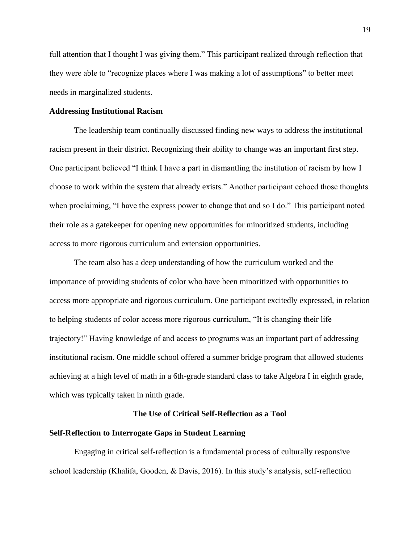full attention that I thought I was giving them." This participant realized through reflection that they were able to "recognize places where I was making a lot of assumptions" to better meet needs in marginalized students.

#### **Addressing Institutional Racism**

The leadership team continually discussed finding new ways to address the institutional racism present in their district. Recognizing their ability to change was an important first step. One participant believed "I think I have a part in dismantling the institution of racism by how I choose to work within the system that already exists." Another participant echoed those thoughts when proclaiming, "I have the express power to change that and so I do." This participant noted their role as a gatekeeper for opening new opportunities for minoritized students, including access to more rigorous curriculum and extension opportunities.

The team also has a deep understanding of how the curriculum worked and the importance of providing students of color who have been minoritized with opportunities to access more appropriate and rigorous curriculum. One participant excitedly expressed, in relation to helping students of color access more rigorous curriculum, "It is changing their life trajectory!" Having knowledge of and access to programs was an important part of addressing institutional racism. One middle school offered a summer bridge program that allowed students achieving at a high level of math in a 6th-grade standard class to take Algebra I in eighth grade, which was typically taken in ninth grade.

### **The Use of Critical Self-Reflection as a Tool**

#### **Self-Reflection to Interrogate Gaps in Student Learning**

Engaging in critical self-reflection is a fundamental process of culturally responsive school leadership (Khalifa, Gooden, & Davis, 2016). In this study's analysis, self-reflection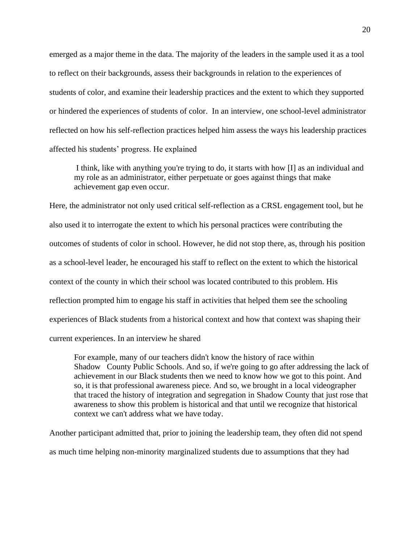emerged as a major theme in the data. The majority of the leaders in the sample used it as a tool to reflect on their backgrounds, assess their backgrounds in relation to the experiences of students of color, and examine their leadership practices and the extent to which they supported or hindered the experiences of students of color. In an interview, one school-level administrator reflected on how his self-reflection practices helped him assess the ways his leadership practices affected his students' progress. He explained

I think, like with anything you're trying to do, it starts with how [I] as an individual and my role as an administrator, either perpetuate or goes against things that make achievement gap even occur.

Here, the administrator not only used critical self-reflection as a CRSL engagement tool, but he also used it to interrogate the extent to which his personal practices were contributing the outcomes of students of color in school. However, he did not stop there, as, through his position as a school-level leader, he encouraged his staff to reflect on the extent to which the historical context of the county in which their school was located contributed to this problem. His reflection prompted him to engage his staff in activities that helped them see the schooling experiences of Black students from a historical context and how that context was shaping their current experiences. In an interview he shared

For example, many of our teachers didn't know the history of race within Shadow County Public Schools. And so, if we're going to go after addressing the lack of achievement in our Black students then we need to know how we got to this point. And so, it is that professional awareness piece. And so, we brought in a local videographer that traced the history of integration and segregation in Shadow County that just rose that awareness to show this problem is historical and that until we recognize that historical context we can't address what we have today.

Another participant admitted that, prior to joining the leadership team, they often did not spend as much time helping non-minority marginalized students due to assumptions that they had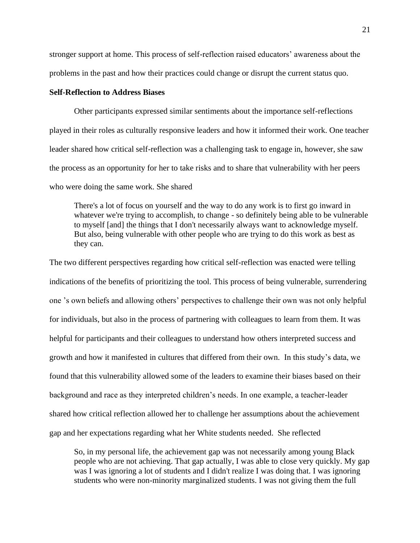stronger support at home. This process of self-reflection raised educators' awareness about the problems in the past and how their practices could change or disrupt the current status quo.

#### **Self-Reflection to Address Biases**

Other participants expressed similar sentiments about the importance self-reflections played in their roles as culturally responsive leaders and how it informed their work. One teacher leader shared how critical self-reflection was a challenging task to engage in, however, she saw the process as an opportunity for her to take risks and to share that vulnerability with her peers who were doing the same work. She shared

There's a lot of focus on yourself and the way to do any work is to first go inward in whatever we're trying to accomplish, to change - so definitely being able to be vulnerable to myself [and] the things that I don't necessarily always want to acknowledge myself. But also, being vulnerable with other people who are trying to do this work as best as they can.

The two different perspectives regarding how critical self-reflection was enacted were telling indications of the benefits of prioritizing the tool. This process of being vulnerable, surrendering one 's own beliefs and allowing others' perspectives to challenge their own was not only helpful for individuals, but also in the process of partnering with colleagues to learn from them. It was helpful for participants and their colleagues to understand how others interpreted success and growth and how it manifested in cultures that differed from their own. In this study's data, we found that this vulnerability allowed some of the leaders to examine their biases based on their background and race as they interpreted children's needs. In one example, a teacher-leader shared how critical reflection allowed her to challenge her assumptions about the achievement gap and her expectations regarding what her White students needed. She reflected

So, in my personal life, the achievement gap was not necessarily among young Black people who are not achieving. That gap actually, I was able to close very quickly. My gap was I was ignoring a lot of students and I didn't realize I was doing that. I was ignoring students who were non-minority marginalized students. I was not giving them the full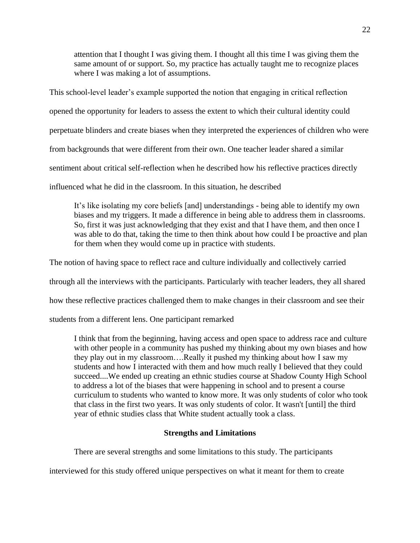attention that I thought I was giving them. I thought all this time I was giving them the same amount of or support. So, my practice has actually taught me to recognize places where I was making a lot of assumptions.

This school-level leader's example supported the notion that engaging in critical reflection opened the opportunity for leaders to assess the extent to which their cultural identity could perpetuate blinders and create biases when they interpreted the experiences of children who were from backgrounds that were different from their own. One teacher leader shared a similar sentiment about critical self-reflection when he described how his reflective practices directly influenced what he did in the classroom. In this situation, he described

It's like isolating my core beliefs [and] understandings - being able to identify my own biases and my triggers. It made a difference in being able to address them in classrooms. So, first it was just acknowledging that they exist and that I have them, and then once I was able to do that, taking the time to then think about how could I be proactive and plan for them when they would come up in practice with students.

The notion of having space to reflect race and culture individually and collectively carried

through all the interviews with the participants. Particularly with teacher leaders, they all shared

how these reflective practices challenged them to make changes in their classroom and see their

students from a different lens. One participant remarked

I think that from the beginning, having access and open space to address race and culture with other people in a community has pushed my thinking about my own biases and how they play out in my classroom….Really it pushed my thinking about how I saw my students and how I interacted with them and how much really I believed that they could succeed....We ended up creating an ethnic studies course at Shadow County High School to address a lot of the biases that were happening in school and to present a course curriculum to students who wanted to know more. It was only students of color who took that class in the first two years. It was only students of color. It wasn't [until] the third year of ethnic studies class that White student actually took a class.

## **Strengths and Limitations**

There are several strengths and some limitations to this study. The participants

interviewed for this study offered unique perspectives on what it meant for them to create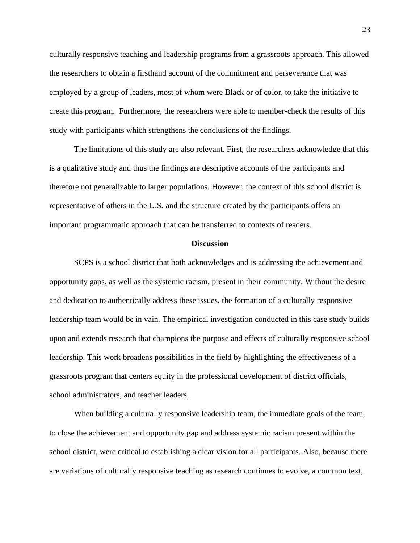culturally responsive teaching and leadership programs from a grassroots approach. This allowed the researchers to obtain a firsthand account of the commitment and perseverance that was employed by a group of leaders, most of whom were Black or of color, to take the initiative to create this program. Furthermore, the researchers were able to member-check the results of this study with participants which strengthens the conclusions of the findings.

The limitations of this study are also relevant. First, the researchers acknowledge that this is a qualitative study and thus the findings are descriptive accounts of the participants and therefore not generalizable to larger populations. However, the context of this school district is representative of others in the U.S. and the structure created by the participants offers an important programmatic approach that can be transferred to contexts of readers.

#### **Discussion**

SCPS is a school district that both acknowledges and is addressing the achievement and opportunity gaps, as well as the systemic racism, present in their community. Without the desire and dedication to authentically address these issues, the formation of a culturally responsive leadership team would be in vain. The empirical investigation conducted in this case study builds upon and extends research that champions the purpose and effects of culturally responsive school leadership. This work broadens possibilities in the field by highlighting the effectiveness of a grassroots program that centers equity in the professional development of district officials, school administrators, and teacher leaders.

When building a culturally responsive leadership team, the immediate goals of the team, to close the achievement and opportunity gap and address systemic racism present within the school district, were critical to establishing a clear vision for all participants. Also, because there are variations of culturally responsive teaching as research continues to evolve, a common text,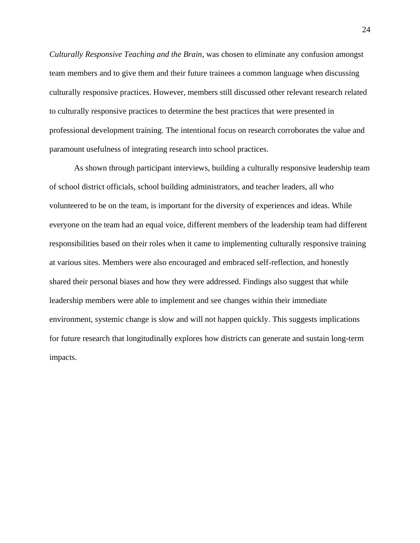*Culturally Responsive Teaching and the Brain*, was chosen to eliminate any confusion amongst team members and to give them and their future trainees a common language when discussing culturally responsive practices. However, members still discussed other relevant research related to culturally responsive practices to determine the best practices that were presented in professional development training. The intentional focus on research corroborates the value and paramount usefulness of integrating research into school practices.

As shown through participant interviews, building a culturally responsive leadership team of school district officials, school building administrators, and teacher leaders, all who volunteered to be on the team, is important for the diversity of experiences and ideas. While everyone on the team had an equal voice, different members of the leadership team had different responsibilities based on their roles when it came to implementing culturally responsive training at various sites. Members were also encouraged and embraced self-reflection, and honestly shared their personal biases and how they were addressed. Findings also suggest that while leadership members were able to implement and see changes within their immediate environment, systemic change is slow and will not happen quickly. This suggests implications for future research that longitudinally explores how districts can generate and sustain long-term impacts.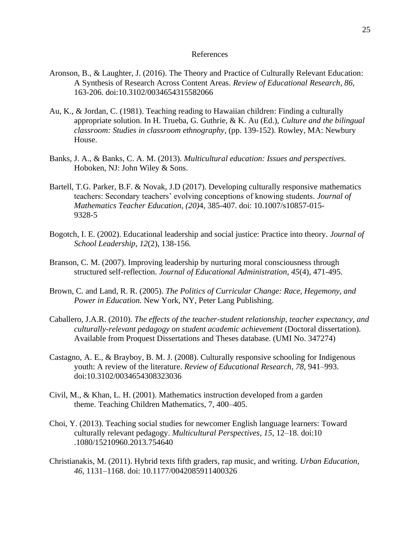#### References

- Aronson, B., & Laughter, J. (2016). The Theory and Practice of Culturally Relevant Education: A Synthesis of Research Across Content Areas. *Review of Educational Research*, *86*, 163-206. doi:10.3102/0034654315582066
- Au, K., & Jordan, C. (1981). Teaching reading to Hawaiian children: Finding a culturally appropriate solution. In H. Trueba, G. Guthrie, & K. Au (Ed.), *Culture and the bilingual classroom: Studies in classroom ethnography*, (pp. 139-152). Rowley, MA: Newbury House.
- Banks, J. A., & Banks, C. A. M. (2013). *Multicultural education: Issues and perspectives.*  Hoboken, NJ: John Wiley & Sons.
- Bartell, T.G. Parker, B.F. & Novak, J.D (2017). Developing culturally responsive mathematics teachers: Secondary teachers' evolving conceptions of knowing students. *Journal of Mathematics Teacher Education*, *(20)*4, 385-407. [doi: 10.1007/s10857-015-](https://doi.org/10.1007/s10857-015-%099328-5)  [9328-5](https://doi.org/10.1007/s10857-015-%099328-5)
- Bogotch, I. E. (2002). Educational leadership and social justice: Practice into theory. *Journal of School Leadership*, *12*(2), 138-156.
- Branson, C. M. (2007). Improving leadership by nurturing moral consciousness through structured self-reflection. *Journal of Educational Administration*, *45*(4), 471-495.
- Brown, C. and Land, R. R. (2005). *The Politics of Curricular Change: Race, Hegemony, and Power in Education.* New York, NY, Peter Lang Publishing.
- Caballero, J.A.R. (2010). *The effects of the teacher-student relationship, teacher expectancy, and culturally-relevant pedagogy on student academic achievement* (Doctoral dissertation). Available from Proquest Dissertations and Theses database. (UMI No. 347274)
- Castagno, A. E., & Brayboy, B. M. J. (2008). Culturally responsive schooling for Indigenous youth: A review of the literature. *Review of Educational Research*, *78*, 941–993. doi:10.3102/0034654308323036
- Civil, M., & Khan, L. H. (2001). Mathematics instruction developed from a garden theme. Teaching Children Mathematics, 7, 400–405.
- Choi, Y. (2013). Teaching social studies for newcomer English language learners: Toward culturally relevant pedagogy. *Multicultural Perspectives*, *15*, 12–18. doi:10 .1080/15210960.2013.754640
- Christianakis, M. (2011). Hybrid texts fifth graders, rap music, and writing. *Urban Education*, *46*, 1131–1168. doi: 10.1177/0042085911400326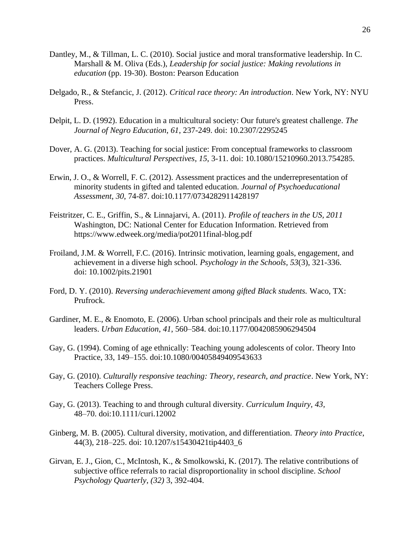- Dantley, M., & Tillman, L. C. (2010). Social justice and moral transformative leadership. In C. Marshall & M. Oliva (Eds.), *Leadership for social justice: Making revolutions in education* (pp. 19-30). Boston: Pearson Education
- Delgado, R., & Stefancic, J. (2012). *Critical race theory: An introduction*. New York, NY: NYU Press.
- Delpit, L. D. (1992). Education in a multicultural society: Our future's greatest challenge. *The Journal of Negro Education*, *61*, 237-249. doi: 10.2307/2295245
- Dover, A. G. (2013). Teaching for social justice: From conceptual frameworks to classroom practices. *Multicultural Perspectives*, *15*, 3-11. doi: 10.1080/15210960.2013.754285.
- Erwin, J. O., & Worrell, F. C. (2012). Assessment practices and the underrepresentation of minority students in gifted and talented education. *Journal of Psychoeducational Assessment*, *30*, 74-87. doi:10.1177/0734282911428197
- Feistritzer, C. E., Griffin, S., & Linnajarvi, A. (2011). *Profile of teachers in the US, 2011* Washington, DC: National Center for Education Information. Retrieved fro[m](https://www.edweek.org/media/pot2011final-blog.pdf) <https://www.edweek.org/media/pot2011final-blog.pdf>
- Froiland, J.M. & Worrell, F.C. (2016). Intrinsic motivation, learning goals, engagement, and achievement in a diverse high school. *Psychology in the Schools, 53*(3), 321-336. doi: [10.1002/pits.21901](https://doi.org/10.1002/pits.21901)
- Ford, D. Y. (2010). *Reversing underachievement among gifted Black students.* Waco, TX: Prufrock.
- Gardiner, M. E., & Enomoto, E. (2006). Urban school principals and their role as multicultural leaders. *Urban Education*, *41*, 560–584. doi:10.1177/0042085906294504
- Gay, G. (1994). Coming of age ethnically: Teaching young adolescents of color. Theory Into Practice, 33, 149–155. doi:10.1080/00405849409543633
- Gay, G. (2010). *Culturally responsive teaching: Theory, research, and practice*. New York, NY: Teachers College Press.
- Gay, G. (2013). Teaching to and through cultural diversity. *Curriculum Inquiry, 43,* 48–70. doi:10.1111/curi.12002
- Ginberg, M. B. (2005). Cultural diversity, motivation, and differentiation. *Theory into Practice*, 44(3), 218–225. doi: 10.1207/s15430421tip4403\_6
- Girvan, E. J., Gion, C., McIntosh, K., & Smolkowski, K. (2017). The relative contributions of subjective office referrals to racial disproportionality in school discipline. *School Psychology Quarterly*, *(32)* 3, 392-404.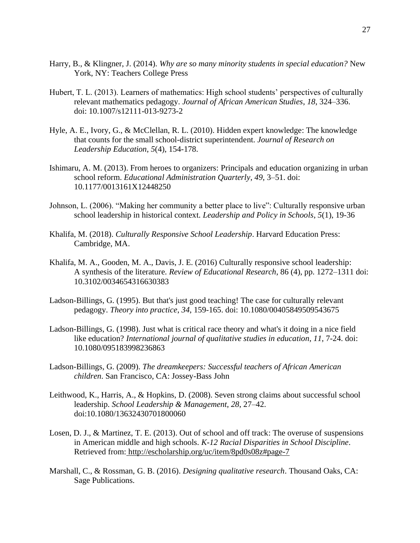- Harry, B., & Klingner, J. (2014). *Why are so many minority students in special education?* New York, NY: Teachers College Press
- Hubert, T. L. (2013). Learners of mathematics: High school students' perspectives of culturally relevant mathematics pedagogy. *Journal of African American Studies*, *18*, 324–336. doi: 10.1007/s12111-013-9273-2
- Hyle, A. E., Ivory, G., & McClellan, R. L. (2010). Hidden expert knowledge: The knowledge that counts for the small school-district superintendent. *Journal of Research on Leadership Education*, *5*(4), 154-178.
- Ishimaru, A. M. (2013). From heroes to organizers: Principals and education organizing in urban school reform. *Educational Administration Quarterly*, *49*, 3–51. doi: 10.1177/0013161X12448250
- Johnson, L. (2006). "Making her community a better place to live": Culturally responsive urban school leadership in historical context. *Leadership and Policy in Schools*, *5*(1), 19-36
- Khalifa, M. (2018). *Culturally Responsive School Leadership*. Harvard Education Press: Cambridge, MA.
- Khalifa, M. A., Gooden, M. A., Davis, J. E. (2016) Culturally responsive school leadership: A synthesis of the literature. *Review of Educational Research*, 86 (4), pp. 1272–1311 doi: 10.3102/0034654316630383
- Ladson-Billings, G. (1995). But that's just good teaching! The case for culturally relevant pedagogy. *Theory into practice*, *34*, 159-165. doi: 10.1080/00405849509543675
- Ladson-Billings, G. (1998). Just what is critical race theory and what's it doing in a nice field like education? *International journal of qualitative studies in education*, *11*, 7-24. doi: 10.1080/095183998236863
- Ladson-Billings, G. (2009). *The dreamkeepers: Successful teachers of African American children*. San Francisco, CA: Jossey-Bass John
- Leithwood, K., Harris, A., & Hopkins, D. (2008). Seven strong claims about successful school leadership. *School Leadership & Management*, *28*, 27–42. doi:10.1080/13632430701800060
- Losen, D. J., & Martinez, T. E. (2013). Out of school and off track: The overuse of suspensions in American middle and high schools. *K-12 Racial Disparities in School Discipline*. Retrieved from: <http://escholarship.org/uc/item/8pd0s08z#page-7>
- Marshall, C., & Rossman, G. B. (2016). *Designing qualitative research*. Thousand Oaks, CA: Sage Publications.